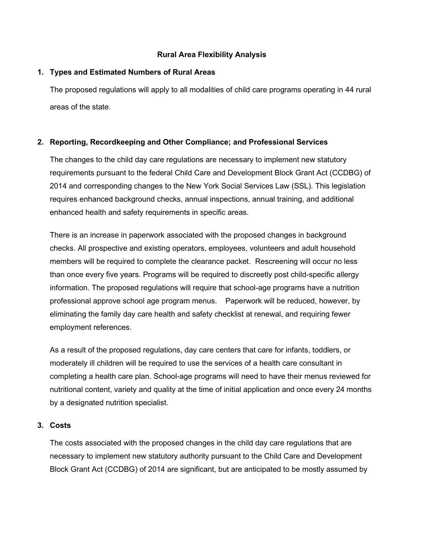# **Rural Area Flexibility Analysis**

### **1. Types and Estimated Numbers of Rural Areas**

The proposed regulations will apply to all modalities of child care programs operating in 44 rural areas of the state.

# **2. Reporting, Recordkeeping and Other Compliance; and Professional Services**

The changes to the child day care regulations are necessary to implement new statutory requirements pursuant to the federal Child Care and Development Block Grant Act (CCDBG) of 2014 and corresponding changes to the New York Social Services Law (SSL). This legislation requires enhanced background checks, annual inspections, annual training, and additional enhanced health and safety requirements in specific areas.

There is an increase in paperwork associated with the proposed changes in background checks. All prospective and existing operators, employees, volunteers and adult household members will be required to complete the clearance packet. Rescreening will occur no less than once every five years. Programs will be required to discreetly post child-specific allergy information. The proposed regulations will require that school-age programs have a nutrition professional approve school age program menus. Paperwork will be reduced, however, by eliminating the family day care health and safety checklist at renewal, and requiring fewer employment references.

As a result of the proposed regulations, day care centers that care for infants, toddlers, or moderately ill children will be required to use the services of a health care consultant in completing a health care plan. School-age programs will need to have their menus reviewed for nutritional content, variety and quality at the time of initial application and once every 24 months by a designated nutrition specialist.

### **3. Costs**

The costs associated with the proposed changes in the child day care regulations that are necessary to implement new statutory authority pursuant to the Child Care and Development Block Grant Act (CCDBG) of 2014 are significant, but are anticipated to be mostly assumed by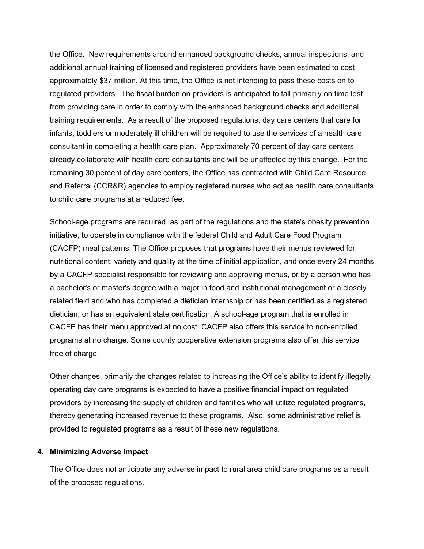the Office. New requirements around enhanced background checks, annual inspections, and additional annual training of licensed and registered providers have been estimated to cost approximately \$37 million. At this time, the Office is not intending to pass these costs on to regulated providers. The fiscal burden on providers is anticipated to fall primarily on time lost from providing care in order to comply with the enhanced background checks and additional training requirements. As a result of the proposed regulations, day care centers that care for infants, toddlers or moderately ill children will be required to use the services of a health care consultant in completing a health care plan. Approximately 70 percent of day care centers already collaborate with health care consultants and will be unaffected by this change. For the remaining 30 percent of day care centers, the Office has contracted with Child Care Resource and Referral (CCR&R) agencies to employ registered nurses who act as health care consultants to child care programs at a reduced fee.

School-age programs are required, as part of the regulations and the state's obesity prevention initiative, to operate in compliance with the federal Child and Adult Care Food Program (CACFP) meal patterns. The Office proposes that programs have their menus reviewed for nutritional content, variety and quality at the time of initial application, and once every 24 months by a CACFP specialist responsible for reviewing and approving menus, or by a person who has a bachelor's or master's degree with a major in food and institutional management or a closely related field and who has completed a dietician internship or has been certified as a registered dietician, or has an equivalent state certification. A school-age program that is enrolled in CACFP has their menu approved at no cost. CACFP also offers this service to non-enrolled programs at no charge. Some county cooperative extension programs also offer this service free of charge.

Other changes, primarily the changes related to increasing the Office's ability to identify illegally operating day care programs is expected to have a positive financial impact on regulated providers by increasing the supply of children and families who will utilize regulated programs, thereby generating increased revenue to these programs. Also, some administrative relief is provided to regulated programs as a result of these new regulations.

#### **4. Minimizing Adverse Impact**

The Office does not anticipate any adverse impact to rural area child care programs as a result of the proposed regulations.